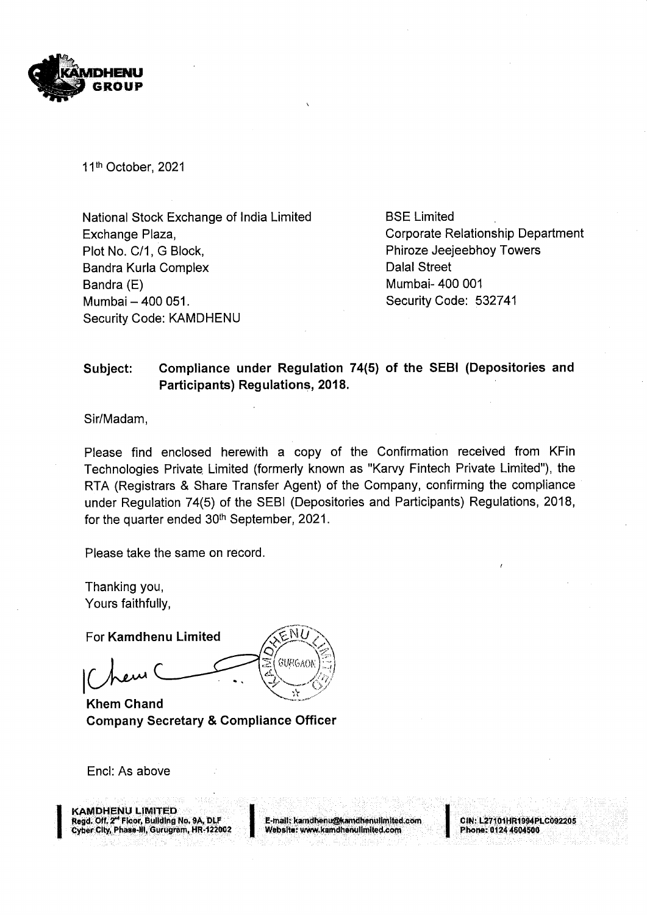

11<sup>th</sup> October, 2021

National Stock Exchange of India Limited BSE Limited Exchange Plaza, Corporate Relationship Department Plot No. C/1, G Block, Phiroze Jeejeebhoy Towers Bandra Kurla Complex **Dalal Street** Bandra (E) Mumbai- 400 001 Mumbai — 400 051. Security Code: 532741 Security Code: KAMDHENU

## Subject: Compliance under Regulation 74(5) of the SEBI (Depositories and Participants) Regulations, 2018.

Sir/Madam,

Please find enclosed herewith a copy of the Confirmation received from KFin Technologies Private Limited (formerly known as "Karvy Fintech Private Limited"), the RTA (Registrars & Share Transfer Agent) of the Company, confirming the compliance under Regulation 74(5) of the SEBI (Depositories and Participants) Regulations, 2018, for the quarter ended  $30<sup>th</sup>$  September, 2021.

Please take the same on record.

Thanking you, Yours faithfully, <sub>u,</sub><br>ılly,<br>e<mark>nu Li</mark>

For Kamdhenu Limited<br>Chem Chard Chem GURGAOI  $\blacktriangledown$   $\ll$ 

Khem Chand Company Secretary & Compliance Officer

Encl: As above

KA<br>Reg<br>Cyb ITED<br>Jilding No. 9A, 1<br>3urugram, HR-1<br>1 KAMDHENU LIMITED

Read: Off, 2" Floor, Building' No, 9A, DLF E-mail: kaméhenugokamdhenvlimitedcom SIN: LATIOHRI9! PLC092205 'Cyber City, Phase, Gurugram, HR- 422002 i Website: www.kamdhenulimited.com